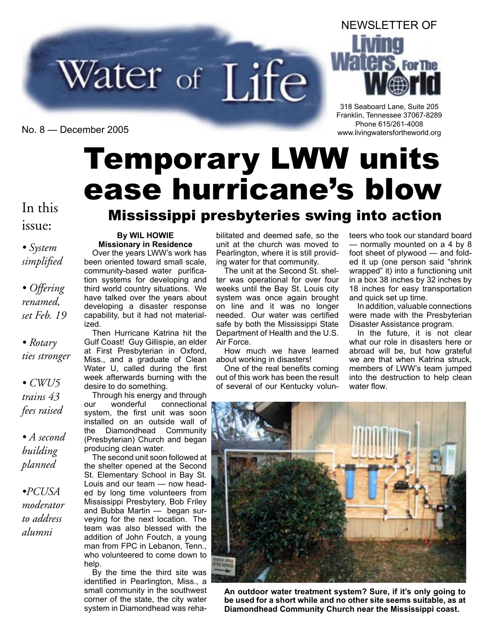

NEWSLETTER OF

318 Seaboard Lane, Suite 205 Franklin, Tennessee 37067-8289 Phone 615/261-4008 Phone 615/261-4008 Phone 615/261-4008 Phone 615/261-4008 Phone 615/261-4008 Phone 615/261-4008 Phone 615/261-4008 Phone 615/261-4008 Phone 615/261-4008 Phone 615/261-4008 Phone 615/261-4008 Phone 615/261

# Temporary LWW units ease hurricane's blow

### In this **Mississippi presbyteries swing into action**

#### **By WIL HOWIE Missionary in Residence**

Over the years LWW's work has been oriented toward small scale, community-based water purification systems for developing and third world country situations. We have talked over the years about developing a disaster response capability, but it had not materialized.

Then Hurricane Katrina hit the Gulf Coast! Guy Gillispie, an elder at First Presbyterian in Oxford, Miss., and a graduate of Clean Water U, called during the first week afterwards burning with the desire to do something.

Through his energy and through<br>ur wonderful connectional our wonderful connectional system, the first unit was soon installed on an outside wall of the Diamondhead Community (Presbyterian) Church and began producing clean water.

The second unit soon followed at the shelter opened at the Second St. Elementary School in Bay St. Louis and our team — now headed by long time volunteers from Mississippi Presbytery, Bob Friley and Bubba Martin — began surveying for the next location. The team was also blessed with the addition of John Foutch, a young man from FPC in Lebanon, Tenn., who volunteered to come down to help.

By the time the third site was identified in Pearlington, Miss., a small community in the southwest corner of the state, the city water system in Diamondhead was rehabilitated and deemed safe, so the unit at the church was moved to Pearlington, where it is still providing water for that community.

The unit at the Second St. shelter was operational for over four weeks until the Bay St. Louis city system was once again brought on line and it was no longer needed. Our water was certified safe by both the Mississippi State Department of Health and the U.S. Air Force.

How much we have learned about working in disasters!

One of the real benefits coming out of this work has been the result of several of our Kentucky volunteers who took our standard board — normally mounted on a 4 by 8 foot sheet of plywood — and folded it up (one person said "shrink wrapped" it) into a functioning unit in a box 38 inches by 32 inches by 18 inches for easy transportation and quick set up time.

In addition, valuable connections were made with the Presbyterian Disaster Assistance program.

In the future, it is not clear what our role in disasters here or abroad will be, but how grateful we are that when Katrina struck, members of LWW's team jumped into the destruction to help clean water flow.



**An outdoor water treatment system? Sure, if it's only going to be used for a short while and no other site seems suitable, as at Diamondhead Community Church near the Mississippi coast.**

issue:

*• System simplified*

*• Offering renamed, set Feb. 19*

*• Rotary ties stronger*

*• CWU5 trains 43 fees raised*

*• A second building planned*

*•PCUSA moderator to address alumni*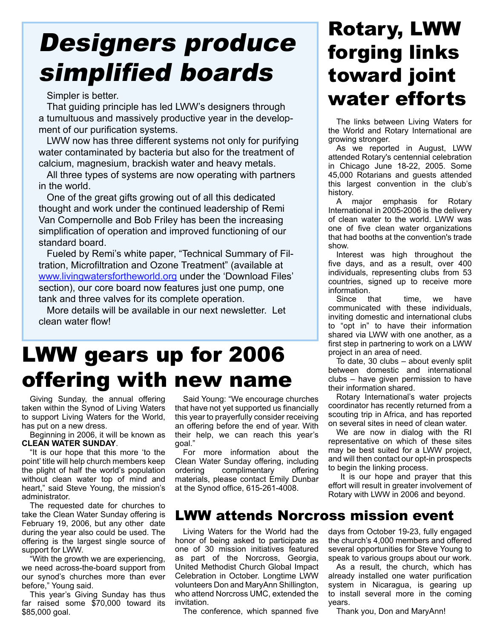## Designers produce simplified boards

Simpler is better.

That guiding principle has led LWW's designers through a tumultuous and massively productive year in the development of our purification systems.

LWW now has three different systems not only for purifying water contaminated by bacteria but also for the treatment of calcium, magnesium, brackish water and heavy metals.

All three types of systems are now operating with partners in the world.

One of the great gifts growing out of all this dedicated thought and work under the continued leadership of Remi Van Compernolle and Bob Friley has been the increasing simplification of operation and improved functioning of our standard board.

Fueled by Remi's white paper, "Technical Summary of Filtration, Microfiltration and Ozone Treatment" (available at www.livingwatersfortheworld.org under the 'Download Files' section), our core board now features just one pump, one tank and three valves for its complete operation.

More details will be available in our next newsletter. Let clean water flow!

### LWW gears up for 2006 offering with new name

Giving Sunday, the annual offering taken within the Synod of Living Waters to support Living Waters for the World, has put on a new dress.

Beginning in 2006, it will be known as **CLEAN WATER SUNDAY**.

"It is our hope that this more 'to the point' title will help church members keep the plight of half the world's population without clean water top of mind and heart," said Steve Young, the mission's administrator.

The requested date for churches to take the Clean Water Sunday offering is February 19, 2006, but any other date during the year also could be used. The offering is the largest single source of support for LWW.

"With the growth we are experiencing, we need across-the-board support from our synod's churches more than ever before," Young said.

This year's Giving Sunday has thus far raised some \$70,000 toward its \$85,000 goal.

Said Young: "We encourage churches that have not yet supported us financially this year to prayerfully consider receiving an offering before the end of year. With their help, we can reach this year's goal."

For more information about the Clean Water Sunday offering, including ordering complimentary offering materials, please contact Emily Dunbar at the Synod office, 615-261-4008.

### Rotary, LWW forging links toward joint water efforts

The links between Living Waters for the World and Rotary International are growing stronger.

As we reported in August, LWW attended Rotary's centennial celebration in Chicago June 18-22, 2005. Some 45,000 Rotarians and guests attended this largest convention in the club's history.

A major emphasis for Rotary International in 2005-2006 is the delivery of clean water to the world. LWW was one of five clean water organizations that had booths at the convention's trade show.

Interest was high throughout the five days, and as a result, over 400 individuals, representing clubs from 53 countries, signed up to receive more information.

Since that time, we have communicated with these individuals, inviting domestic and international clubs to "opt in" to have their information shared via LWW with one another, as a first step in partnering to work on a LWW project in an area of need.

To date, 30 clubs – about evenly split between domestic and international clubs – have given permission to have their information shared.

Rotary International's water projects coordinator has recently returned from a scouting trip in Africa, and has reported on several sites in need of clean water.

We are now in dialog with the RI representative on which of these sites may be best suited for a LWW project, and will then contact our opt-in prospects to begin the linking process.

 It is our hope and prayer that this effort will result in greater involvement of Rotary with LWW in 2006 and beyond.

#### LWW attends Norcross mission event

Living Waters for the World had the honor of being asked to participate as one of 30 mission initiatives featured as part of the Norcross, Georgia, United Methodist Church Global Impact Celebration in October. Longtime LWW volunteers Don and MaryAnn Shillington, who attend Norcross UMC, extended the invitation.

The conference, which spanned five

days from October 19-23, fully engaged the church's 4,000 members and offered several opportunities for Steve Young to speak to various groups about our work.

As a result, the church, which has already installed one water purification system in Nicaragua, is gearing up to install several more in the coming years.

Thank you, Don and MaryAnn!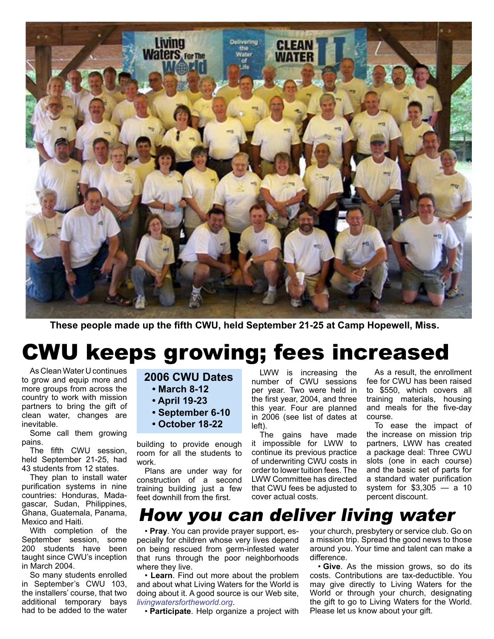

**These people made up the fifth CWU, held September 21-25 at Camp Hopewell, Miss.**

## CWU keeps growing; fees increased

As Clean Water U continues to grow and equip more and more groups from across the country to work with mission partners to bring the gift of clean water, changes are inevitable.

Some call them growing pains.

The fifth CWU session, held September 21-25, had 43 students from 12 states.

They plan to install water purification systems in nine countries: Honduras, Madagascar, Sudan, Philippines, Ghana, Guatemala, Panama, Mexico and Haiti.

With completion of the September session, some 200 students have been taught since CWU's inception in March 2004.

So many students enrolled in September's CWU 103, the installers' course, that two additional temporary bays had to be added to the water

#### **2006 CWU Dates**

- **March 8-12**
- **April 19-23**
- **September 6-10**
- **October 18-22**

building to provide enough room for all the students to work.

Plans are under way for construction of a second training building just a few feet downhill from the first.

LWW is increasing the number of CWU sessions per year. Two were held in the first year, 2004, and three this year. Four are planned in 2006 (see list of dates at left).

The gains have made it impossible for LWW to continue its previous practice of underwriting CWU costs in order to lower tuition fees. The LWW Committee has directed that CWU fees be adjusted to cover actual costs.

As a result, the enrollment fee for CWU has been raised to \$550, which covers all training materials, housing and meals for the five-day course.

To ease the impact of the increase on mission trip partners, LWW has created a package deal: Three CWU slots (one in each course) and the basic set of parts for a standard water purification system for \$3,305 — a 10 percent discount.

#### How you can deliver living water

• **Pray**. You can provide prayer support, especially for children whose very lives depend on being rescued from germ-infested water that runs through the poor neighborhoods where they live.

• **Learn**. Find out more about the problem and about what Living Waters for the World is doing about it. A good source is our Web site, *livingwatersfortheworld.org*.

• **Participate**. Help organize a project with

your church, presbytery or service club. Go on a mission trip. Spread the good news to those around you. Your time and talent can make a difference.

• **Give**. As the mission grows, so do its costs. Contributions are tax-deductible. You may give directly to Living Waters for the World or through your church, designating the gift to go to Living Waters for the World. Please let us know about your gift.